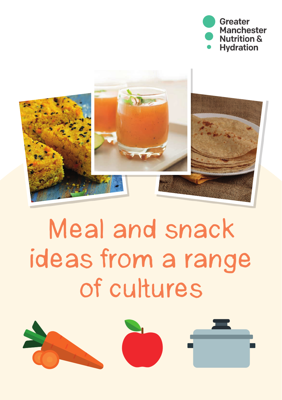



# Meal and snack ideas from a range of cultures

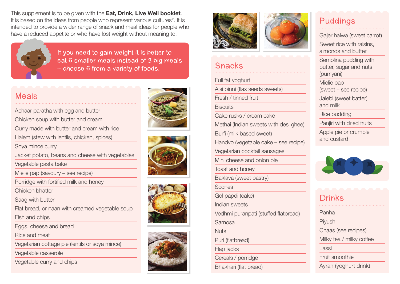This supplement is to be given with the **Eat, Drink, Live Well booklet**. It is based on the ideas from people who represent various cultures\*. It is intended to provide a wider range of snack and meal ideas for people who have a reduced appetite or who have lost weight without meaning to.



If you need to gain weight it is better to eat 6 smaller meals instead of 3 big meals – choose 6 from a variety of foods.

### Meals

Achaar paratha with egg and butter

Chicken soup with butter and cream

Curry made with butter and cream with rice

Halem (stew with lentils, chicken, spices)

Soya mince curry

Jacket potato, beans and cheese with vegetables

Vegetable pasta bake

Mielie pap (savoury – see recipe)

Porridge with fortified milk and honey

Chicken bhatter

Saag with butter

Flat bread, or naan with creamed vegetable soup

Fish and chips

Eggs, cheese and bread

Rice and meat

Vegetarian cottage pie (lentils or soya mince)

Vegetable casserole

Vegetable curry and chips











### Snacks

Full fat yoghurt Alsi pinni (flax seeds sweets) Fresh / tinned fruit **Biscuits** Cake rusks / cream cake Methai (Indian sweets with desi ghee) Burfi (milk based sweet) Handvo (vegetable cake – see recipe) Vegetarian cocktail sausages Mini cheese and onion pie Toast and honey Baklava (sweet pastry) Scones Gol papdi (cake) Indian sweets Vedhmi puranpati (stuffed flatbread) Samosa **Nuts** Puri (flatbread) Flap jacks Cereals / porridge Bhakhari (flat bread)

## Puddings

Gajer halwa (sweet carrot) Sweet rice with raisins, almonds and butter Semolina pudding with butter, sugar and nuts (purriyani) Mielie pap (sweet – see recipe) Jalebi (sweet batter) and milk Rice pudding Panjiri with dried fruits Apple pie or crumble and custard



| <b>Drinks</b>            |
|--------------------------|
| Panha                    |
| Piyush                   |
| Chaas (see recipes)      |
| Milky tea / milky coffee |
| Lassi                    |
| Fruit smoothie           |
| Ayran (yoghurt drink)    |
|                          |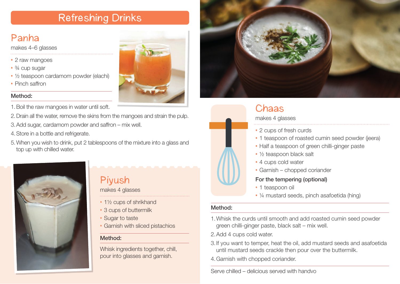# Refreshing Drinks

# Panha

makes 4–6 glasses

- 2 raw mangoes
- 3/4 cup sugar
- ½ teaspoon cardamom powder (elachi)
- Pinch saffron

### Method:

- 1. Boil the raw mangoes in water until soft.
- 2. Drain all the water, remove the skins from the mangoes and strain the pulp.
- 3. Add sugar, cardamom powder and saffron mix well.
- 4. Store in a bottle and refrigerate.
- 5. When you wish to drink, put 2 tablespoons of the mixture into a glass and top up with chilled water.

Piyush

makes 4 glasses

• Sugar to taste

Method<sup>.</sup>

• 1½ cups of shrikhand • 3 cups of buttermilk

• Garnish with sliced pistachios

Whisk ingredients together, chill, pour into glasses and garnish.







### Chaas makes 4 glasses • 2 cups of fresh curds • 1 teaspoon of roasted cumin seed powder (jeera) • Half a teaspoon of green chilli-ginger paste • ½ teaspoon black salt • 4 cups cold water • Garnish – chopped coriander For the tempering (optional) • 1 teaspoon oil

• ¼ mustard seeds, pinch asafoetida (hing)

#### Method:

- 1. Whisk the curds until smooth and add roasted cumin seed powder green chilli-ginger paste, black salt – mix well.
- 2.Add 4 cups cold water.
- 3. If you want to temper, heat the oil, add mustard seeds and asafoetida until mustard seeds crackle then pour over the buttermilk.
- 4.Garnish with chopped coriander.

Serve chilled – delicious served with handvo

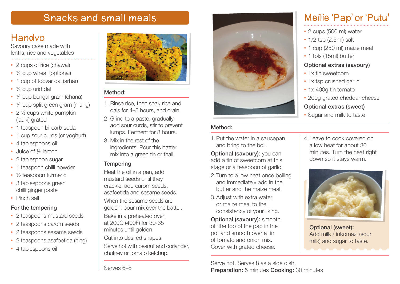# Snacks and small meals

### Handvo

Savoury cake made with lentils, rice and vegetables

- 2 cups of rice (chawal)
- 1/4 cup wheat (optional)
- 1 cup of toovar dal (arhar)
- 1/4 cup urid dal
- ¼ cup bengal gram (chana)
- ¼ cup split green gram (mung)
- 2 1/2 cups white pumpkin (lauki) grated
- 1 teaspoon bi-carb soda
- 1 cup sour curds (or yoghurt)
- 4 tablespoons oil
- Juice of 1/2 lemon
- 2 tablespoon sugar
- 1 teaspoon chilli powder
- 1/<sub>2</sub> teaspoon turmeric
- 3 tablespoons green chilli ginger paste
- Pinch salt

### For the tempering

- 2 teaspoons mustard seeds
- 2 teaspoons carom seeds
- 2 teaspoons sesame seeds
- 2 teaspoons asafoetida (hing)
- 4 tablespoons oil



#### Method:

- 1. Rinse rice, then soak rice and dals for 4–5 hours, and drain.
- 2. Grind to a paste, gradually add sour curds, stir to prevent lumps. Ferment for 8 hours.
- 3. Mix in the rest of the ingredients. Pour this batter mix into a green tin or thali.

### **Tempering**

Heat the oil in a pan, add mustard seeds until they crackle, add carom seeds, asafoetida and sesame seeds. When the sesame seeds are golden, pour mix over the batter. Bake in a preheated oven at 200C (400F) for 30-35 minutes until golden. Cut into desired shapes.

Serve hot with peanut and coriander, chutney or tomato ketchup.



### Method:

1. Put the water in a saucepan and bring to the boil.

**Optional (savoury):** you can add a tin of sweetcorn at this stage or a teaspoon of garlic.

- 2. Turn to a low heat once boiling and immediately add in the butter and the maize meal.
- 3. Adjust with extra water or maize meal to the consistency of your liking.

**Optional (savoury): smooth** off the top of the pap in the pot and smooth over a tin of tomato and onion mix. Cover with grated cheese.

# Meilie 'Pap' or 'Putu'

- 2 cups (500 ml) water
- 1/2 tsp (2.5ml) salt
- 1 cup (250 ml) maize meal
- 1 tbls (15ml) butter

#### Optional extras (savoury)

- 1x tin sweetcorn
- 1x tsp crushed garlic
- 1x 400g tin tomato
- 200g grated cheddar cheese

### Optional extras (sweet)

- Sugar and milk to taste
- 4. Leave to cook covered on a low heat for about 30 minutes. Turn the heat right down so it stays warm.



Optional (sweet): Add milk / inkomazi (sour milk) and sugar to taste.